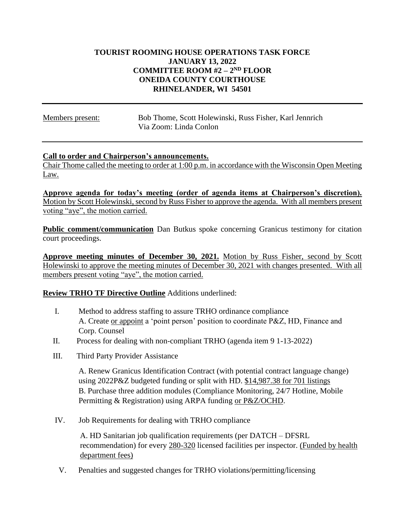### **TOURIST ROOMING HOUSE OPERATIONS TASK FORCE JANUARY 13, 2022 COMMITTEE ROOM #2 – 2 ND FLOOR ONEIDA COUNTY COURTHOUSE RHINELANDER, WI 54501**

Members present: Bob Thome, Scott Holewinski, Russ Fisher, Karl Jennrich Via Zoom: Linda Conlon

#### **Call to order and Chairperson's announcements.**

Chair Thome called the meeting to order at 1:00 p.m. in accordance with the Wisconsin Open Meeting Law.

**Approve agenda for today's meeting (order of agenda items at Chairperson's discretion).** Motion by Scott Holewinski, second by Russ Fisher to approve the agenda. With all members present voting "aye", the motion carried.

**Public comment/communication** Dan Butkus spoke concerning Granicus testimony for citation court proceedings.

**Approve meeting minutes of December 30, 2021.** Motion by Russ Fisher, second by Scott Holewinski to approve the meeting minutes of December 30, 2021 with changes presented. With all members present voting "aye", the motion carried.

## **Review TRHO TF Directive Outline** Additions underlined:

- I. Method to address staffing to assure TRHO ordinance compliance A. Create or appoint a 'point person' position to coordinate P&Z, HD, Finance and Corp. Counsel
- II. Process for dealing with non-compliant TRHO (agenda item 9 1-13-2022)
- III. Third Party Provider Assistance

A. Renew Granicus Identification Contract (with potential contract language change) using 2022P&Z budgeted funding or split with HD. \$14,987.38 for 701 listings B. Purchase three addition modules (Compliance Monitoring, 24/7 Hotline, Mobile Permitting & Registration) using ARPA funding or P&Z/OCHD.

IV. Job Requirements for dealing with TRHO compliance

A. HD Sanitarian job qualification requirements (per DATCH – DFSRL recommendation) for every 280-320 licensed facilities per inspector. (Funded by health department fees)

V. Penalties and suggested changes for TRHO violations/permitting/licensing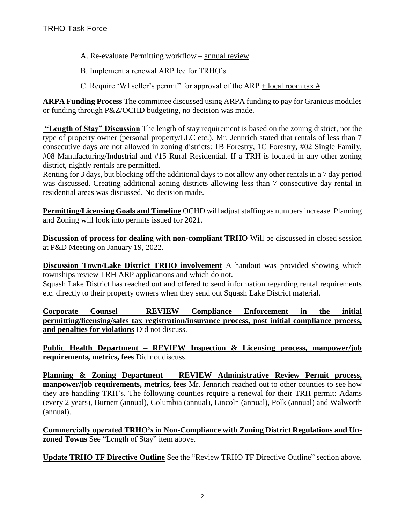- A. Re-evaluate Permitting workflow annual review
- B. Implement a renewal ARP fee for TRHO's
- C. Require 'WI seller's permit" for approval of the  $ARP + local$  room tax #

**ARPA Funding Process** The committee discussed using ARPA funding to pay for Granicus modules or funding through P&Z/OCHD budgeting, no decision was made.

**"Length of Stay" Discussion** The length of stay requirement is based on the zoning district, not the type of property owner (personal property/LLC etc.). Mr. Jennrich stated that rentals of less than 7 consecutive days are not allowed in zoning districts: 1B Forestry, 1C Forestry, #02 Single Family, #08 Manufacturing/Industrial and #15 Rural Residential. If a TRH is located in any other zoning district, nightly rentals are permitted.

Renting for 3 days, but blocking off the additional days to not allow any other rentals in a 7 day period was discussed. Creating additional zoning districts allowing less than 7 consecutive day rental in residential areas was discussed. No decision made.

**Permitting/Licensing Goals and Timeline** OCHD will adjust staffing as numbers increase. Planning and Zoning will look into permits issued for 2021.

**Discussion of process for dealing with non-compliant TRHO** Will be discussed in closed session at P&D Meeting on January 19, 2022.

**Discussion Town/Lake District TRHO involvement** A handout was provided showing which townships review TRH ARP applications and which do not.

Squash Lake District has reached out and offered to send information regarding rental requirements etc. directly to their property owners when they send out Squash Lake District material.

**Corporate Counsel – REVIEW Compliance Enforcement in the initial permitting/licensing/sales tax registration/insurance process, post initial compliance process, and penalties for violations** Did not discuss.

**Public Health Department – REVIEW Inspection & Licensing process, manpower/job requirements, metrics, fees** Did not discuss.

**Planning & Zoning Department – REVIEW Administrative Review Permit process, manpower/job requirements, metrics, fees** Mr. Jennrich reached out to other counties to see how they are handling TRH's. The following counties require a renewal for their TRH permit: Adams (every 2 years), Burnett (annual), Columbia (annual), Lincoln (annual), Polk (annual) and Walworth (annual).

**Commercially operated TRHO's in Non-Compliance with Zoning District Regulations and Unzoned Towns** See "Length of Stay" item above.

**Update TRHO TF Directive Outline** See the "Review TRHO TF Directive Outline" section above.